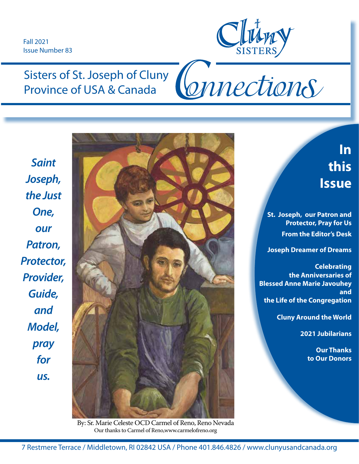Fall 2021 Issue Number 83



Connections

# Sisters of St. Joseph of Cluny Province of USA & Canada

*Saint Joseph, the Just One, our Patron, Protector, Provider, Guide, and Model, pray for us.*



By: Sr. Marie Celeste OCD Carmel of Reno, Reno Nevada Our thanks to Carmel of Reno,www.carmelofreno.org

**In this Issue** 

**St. Joseph, our Patron and Protector, Pray for Us From the Editor's Desk**

**Joseph Dreamer of Dreams**

#### **Celebrating the Anniversaries of Blessed Anne Marie Javouhey and the Life of the Congregation**

**Cluny Around the World**

**2021 Jubilarians**

**Our Thanks to Our Donors**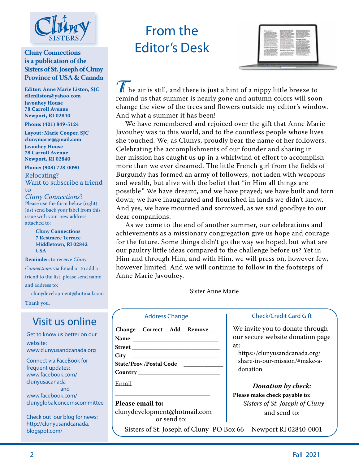

#### **Cluny Connections is a publication of the Sisters of St. Joseph of Cluny Province of USA & Canada**

**Editor: Anne Marie Liston, SJC ellenliston@yahoo.com Javouhey House 78 Carroll Avenue Newport, RI 02840**

**Phone: (401) 849-5124**

**Layout: Marie Cooper, SJC clunymarie@gmail.com Javouhey House 78 Carroll Avenue Newport, RI 02840**

**Phone: (908) 728-0090**

Relocating? Want to subscribe a friend to

*Cluny Connections*? Please use the form below (right) Just send back your label from this issue with your new address attached to:

> **Cluny Connections 7 Restmere Terrace** M**iddletown, RI 02842** U**SA**

**Reminder:** to receive *Cluny*

*Connections* via Email or to add a friend to the list, please send name and address to:

clunydevelopment@hotmail.com

Thank you.

## Visit us online

Get to know us better on our website: www.clunyusandcanada.org

Connect via FaceBook for frequent updates: www.facebook.com/ clunyusacanada and www.facebook.com/ clunyglobalconcernscommittee

Check out our blog for news: http://clunyusandcanada. blogspot.com/

# From the Editor's Desk



**T** he air is still, and there is just a hint of a nippy little breeze to remind us that summer is nearly gone and autumn colors will soon change the view of the trees and flowers outside my editor's window. And what a summer it has been!

 We have remembered and rejoiced over the gift that Anne Marie Javouhey was to this world, and to the countless people whose lives she touched. We, as Clunys, proudly bear the name of her followers. Celebrating the accomplishments of our founder and sharing in her mission has caught us up in a whirlwind of effort to accomplish more than we ever dreamed. The little French girl from the fields of Burgundy has formed an army of followers, not laden with weapons and wealth, but alive with the belief that "in Him all things are possible." We have dreamt, and we have prayed; we have built and torn down; we have inaugurated and flourished in lands we didn't know. And yes, we have mourned and sorrowed, as we said goodbye to our dear companions.

 As we come to the end of another summer, our celebrations and achievements as a missionary congregation give us hope and courage for the future. Some things didn't go the way we hoped, but what are our paultry little ideas compared to the challenge before us? Yet in Him and through Him, and with Him, we will press on, however few, however limited. And we will continue to follow in the footsteps of Anne Marie Javouhey.

Sister Anne Marie

#### Address Change

|                                                                                                                      |  | Change Correct Add Remove |
|----------------------------------------------------------------------------------------------------------------------|--|---------------------------|
| <b>Name</b>                                                                                                          |  |                           |
| <b>Street</b> and the state of the state of the state of the state of the state of the state of the state of the sta |  |                           |
| $City \begin{array}{ccc} \n\text{City} & \n\end{array}$                                                              |  |                           |

**State/Prov./Postal Code \_\_\_\_\_\_\_\_\_\_\_\_\_\_ Country \_\_\_\_\_\_\_\_\_\_\_\_\_\_\_\_\_\_\_\_\_\_\_\_\_\_\_\_\_**

Email

**Please email to:**  clunydevelopment@hotmail.com or send to:

 $\overline{\phantom{a}}$  , and the set of the set of the set of the set of the set of the set of the set of the set of the set of the set of the set of the set of the set of the set of the set of the set of the set of the set of the s

Sisters of St. Joseph of Cluny PO Box 66 Newport RI 02840-0001

#### Check/Credit Card Gift

We invite you to donate through our secure website donation page at:

https://clunyusandcanada.org/ share-in-our-mission/#make-adonation

#### *Donation by check:*

**Please make check payable to:** *Sisters of St. Joseph of Cluny*  and send to: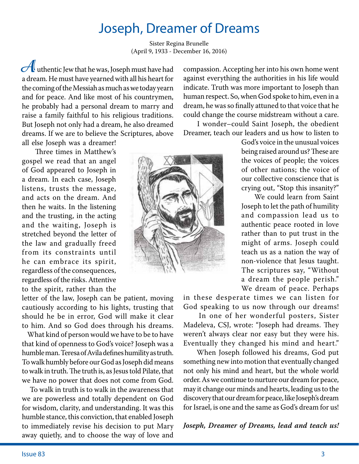# Joseph, Dreamer of Dreams

Sister Regina Brunelle (April 9, 1933 - December 16, 2016)

**A**uthentic Jew that he was, Joseph must have had a dream. He must have yearned with all his heart for the coming of the Messiah as much as we today yearn and for peace. And like most of his countrymen, he probably had a personal dream to marry and raise a family faithful to his religious traditions. But Joseph not only had a dream, he also dreamed dreams. If we are to believe the Scriptures, above all else Joseph was a dreamer!

 Three times in Matthew's gospel we read that an angel of God appeared to Joseph in a dream. In each case, Joseph listens, trusts the message, and acts on the dream. And then he waits. In the listening and the trusting, in the acting and the waiting, Joseph is stretched beyond the letter of the law and gradually freed from its constraints until he can embrace its spirit, regardless of the consequences, regardless of the risks. Attentive to the spirit, rather than the

letter of the law, Joseph can be patient, moving cautiously according to his lights, trusting that should he be in error, God will make it clear to him. And so God does through his dreams.

 What kind of person would we have to be to have that kind of openness to God's voice? Joseph was a humble man. Teresa of Avila defines humility as truth. To walk humbly before our God as Joseph did means to walk in truth. The truth is, as Jesus told Pilate, that we have no power that does not come from God.

 To walk in truth is to walk in the awareness that we are powerless and totally dependent on God for wisdom, clarity, and understanding. It was this humble stance, this conviction, that enabled Joseph to immediately revise his decision to put Mary away quietly, and to choose the way of love and

compassion. Accepting her into his own home went against everything the authorities in his life would indicate. Truth was more important to Joseph than human respect. So, when God spoke to him, even in a dream, he was so finally attuned to that voice that he could change the course midstream without a care.

 I wonder–could Saint Joseph, the obedient Dreamer, teach our leaders and us how to listen to



God's voice in the unusual voices being raised around us? These are the voices of people; the voices of other nations; the voice of our collective conscience that is crying out, "Stop this insanity?"

 We could learn from Saint Joseph to let the path of humility and compassion lead us to authentic peace rooted in love rather than to put trust in the might of arms. Joseph could teach us as a nation the way of non-violence that Jesus taught. The scriptures say, "Without a dream the people perish." We dream of peace. Perhaps

in these desperate times we can listen for God speaking to us now through our dreams!

 In one of her wonderful posters, Sister Madeleva, CSJ, wrote: "Joseph had dreams. They weren't always clear nor easy but they were his. Eventually they changed his mind and heart."

 When Joseph followed his dreams, God put something new into motion that eventually changed not only his mind and heart, but the whole world order. As we continue to nurture our dream for peace, may it change our minds and hearts, leading us to the discovery that our dream for peace, like Joseph's dream for Israel, is one and the same as God's dream for us!

*Joseph, Dreamer of Dreams, lead and teach us!*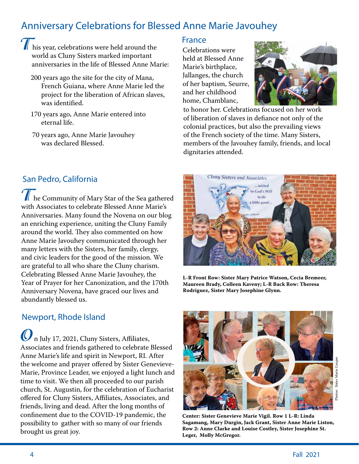## Anniversary Celebrations for Blessed Anne Marie Javouhey

- **T**his year, celebrations were held around the world as Cluny Sisters marked important anniversaries in the life of Blessed Anne Marie:
	- 200 years ago the site for the city of Mana, French Guiana, where Anne Marie led the project for the liberation of African slaves, was identified.
	- 170 years ago, Anne Marie entered into eternal life.
	- 70 years ago, Anne Marie Javouhey was declared Blessed.

### San Pedro, California

**T** he Community of Mary Star of the Sea gathered with Associates to celebrate Blessed Anne Marie's Anniversaries. Many found the Novena on our blog an enriching experience, uniting the Cluny Family around the world. They also commented on how Anne Marie Javouhey communicated through her many letters with the Sisters, her family, clergy, and civic leaders for the good of the mission. We are grateful to all who share the Cluny charism. Celebrating Blessed Anne Marie Javouhey, the Year of Prayer for her Canonization, and the 170th Anniversary Novena, have graced our lives and abundantly blessed us.

#### Newport, Rhode Island

**O**n July 17, 2021, Cluny Sisters, Affiliates, Associates and friends gathered to celebrate Blessed Anne Marie's life and spirit in Newport, RI. After the welcome and prayer offered by Sister Genevieve-Marie, Province Leader, we enjoyed a light lunch and time to visit. We then all proceeded to our parish church, St. Augustin, for the celebration of Eucharist offered for Cluny Sisters, Affiliates, Associates, and friends, living and dead. After the long months of confinement due to the COVID-19 pandemic, the possibility to gather with so many of our friends brought us great joy.

#### France

Celebrations were held at Blessed Anne Marie's birthplace, Jallanges, the church of her baptism, Seurre, and her childhood home, Chamblanc,



to honor her. Celebrations focused on her work of liberation of slaves in defiance not only of the colonial practices, but also the prevailing views of the French society of the time. Many Sisters, members of the Javouhey family, friends, and local dignitaries attended.



**L-R Front Row: Sister Mary Patrice Watson, Cecia Bremeer, Maureen Brady, Colleen Kaveny; L-R Back Row: Theresa Rodriguez, Sister Mary Josephine Glynn.**



**Center: Sister Genevieve Marie Vigil. Row 1 L-R: Linda Sagamang, Mary Durgin, Jack Grant, Sister Anne Marie Liston, Row 2: Anne Clarke and Louise Costley, Sister Josephine St. Leger, Molly McGregor.**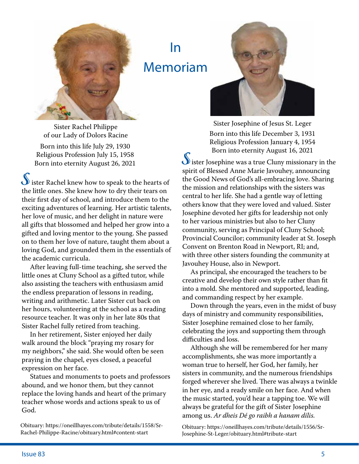

In Memoriam



Sister Josephine of Jesus St. Leger Born into this life December 3, 1931 Religious Profession January 4, 1954 Born into eternity August 16, 2021

**S**ister Josephine was a true Cluny missionary in the spirit of Blessed Anne Marie Javouhey, announcing the Good News of God's all-embracing love. Sharing the mission and relationships with the sisters was central to her life. She had a gentle way of letting others know that they were loved and valued. Sister Josephine devoted her gifts for leadership not only to her various ministries but also to her Cluny community, serving as Principal of Cluny School; Provincial Councilor; community leader at St. Joseph Convent on Brenton Road in Newport, RI; and, with three other sisters founding the community at Javouhey House, also in Newport.

 As principal, she encouraged the teachers to be creative and develop their own style rather than fit into a mold. She mentored and supported, leading, and commanding respect by her example.

 Down through the years, even in the midst of busy days of ministry and community responsibilities, Sister Josephine remained close to her family, celebrating the joys and supporting them through difficulties and loss.

 Although she will be remembered for her many accomplishments, she was more importantly a woman true to herself, her God, her family, her sisters in community, and the numerous friendships forged wherever she lived. There was always a twinkle in her eye, and a ready smile on her face. And when the music started, you'd hear a tapping toe. We will always be grateful for the gift of Sister Josephine among us. *Ar dheis Dé go raibh a hanam dílis.*

Obituary: https://oneillhayes.com/tribute/details/1556/Sr-Josephine-St-Leger/obituary.html#tribute-start

Sister Rachel Philippe of our Lady of Dolors Racine

Born into this life July 29, 1930 Religious Profession July 15, 1958 Born into eternity August 26, 2021

**S**ister Rachel knew how to speak to the hearts of the little ones. She knew how to dry their tears on their first day of school, and introduce them to the exciting adventures of learning. Her artistic talents, her love of music, and her delight in nature were all gifts that blossomed and helped her grow into a gifted and loving mentor to the young. She passed on to them her love of nature, taught them about a loving God, and grounded them in the essentials of the academic curricula.

 After leaving full-time teaching, she served the little ones at Cluny School as a gifted tutor, while also assisting the teachers with enthusiasm amid the endless preparation of lessons in reading, writing and arithmetic. Later Sister cut back on her hours, volunteering at the school as a reading resource teacher. It was only in her late 80s that Sister Rachel fully retired from teaching.

 In her retirement, Sister enjoyed her daily walk around the block "praying my rosary for my neighbors," she said. She would often be seen praying in the chapel, eyes closed, a peaceful expression on her face.

 Statues and monuments to poets and professors abound, and we honor them, but they cannot replace the loving hands and heart of the primary teacher whose words and actions speak to us of God.

Obituary: https://oneillhayes.com/tribute/details/1558/Sr-Rachel-Philippe-Racine/obituary.html#content-start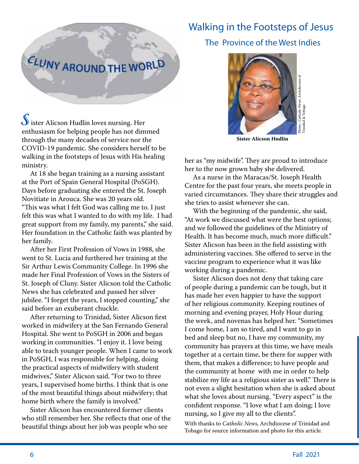# **CLUNY AROUND THE WORLD**

**S**ister Alicson Hudlin loves nursing. Her enthusiasm for helping people has not dimmed through the many decades of service nor the COVID-19 pandemic. She considers herself to be walking in the footsteps of Jesus with His healing ministry.

 At 18 she began training as a nursing assistant at the Port of Spain General Hospital (PoSGH). Days before graduating she entered the St. Joseph Novitiate in Arouca. She was 20 years old. "This was what I felt God was calling me to. I just felt this was what I wanted to do with my life. I had great support from my family, my parents," she said. Her foundation in the Catholic faith was planted by her family.

 After her First Profession of Vows in 1988, she went to St. Lucia and furthered her training at the Sir Arthur Lewis Community College. In 1996 she made her Final Profession of Vows in the Sisters of St. Joseph of Cluny. Sister Alicson told the Catholic News she has celebrated and passed her silver jubilee. "I forget the years, I stopped counting," she said before an exuberant chuckle.

 After returning to Trinidad, Sister Alicson first worked in midwifery at the San Fernando General Hospital. She went to PoSGH in 2006 and began working in communities. "I enjoy it. I love being able to teach younger people. When I came to work in PoSGH, I was responsible for helping, doing the practical aspects of midwifery with student midwives," Sister Alicson said. "For two to three years, I supervised home births. I think that is one of the most beautiful things about midwifery; that home birth where the family is involved."

 Sister Alicson has encountered former clients who still remember her. She reflects that one of the beautiful things about her job was people who see

## Walking in the Footsteps of Jesus

The Province of the West Indies



**Sister Alicson Hudlin**

her as "my midwife". They are proud to introduce her to the now grown baby she delivered.

 As a nurse in the Maracas/St. Joseph Health Centre for the past four years, she meets people in varied circumstances. They share their struggles and she tries to assist whenever she can.

 With the beginning of the pandemic, she said, "At work we discussed what were the best options; and we followed the guidelines of the Ministry of Health. It has become much, much more difficult." Sister Alicson has been in the field assisting with administering vaccines. She offered to serve in the vaccine program to experience what it was like working during a pandemic.

 Sister Alicson does not deny that taking care of people during a pandemic can be tough, but it has made her even happier to have the support of her religious community. Keeping routines of morning and evening prayer, Holy Hour during the week, and novenas has helped her. "Sometimes I come home, I am so tired, and I want to go in bed and sleep but no, I have my community, my community has prayers at this time, we have meals together at a certain time, be there for supper with them, that makes a difference; to have people and the community at home with me in order to help stabilize my life as a religious sister as well." There is not even a slight hesitation when she is asked about what she loves about nursing. "Every aspect" is the confident response. "I love what I am doing; I love nursing, so I give my all to the clients".

With thanks to *Catholic News,* Archdiocese of Trinidad and Tobago for source information and photo for this article.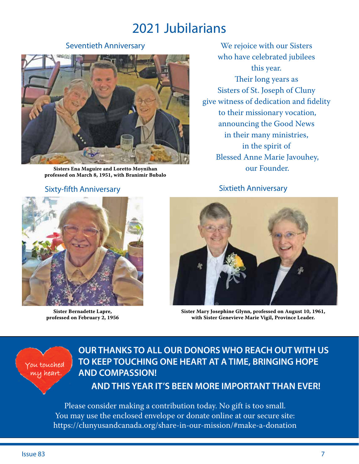# 2021 Jubilarians

#### Seventieth Anniversary



**Sisters Ena Maguire and Loretto Moynihan professed on March 8, 1951, with Branimir Bubalo**

#### Sixty-fifth Anniversary



**Sister Bernadette Lapre, professed on February 2, 1956**

We rejoice with our Sisters who have celebrated jubilees this year. Their long years as Sisters of St. Joseph of Cluny give witness of dedication and fidelity to their missionary vocation, announcing the Good News in their many ministries, in the spirit of Blessed Anne Marie Javouhey, our Founder.

Sixtieth Anniversary



**Sister Mary Josephine Glynn, professed on August 10, 1961, with Sister Genevieve Marie Vigil, Province Leader.**

#### You touched my heart

## **OUR THANKS TO ALL OUR DONORS WHO REACH OUT WITH US TO KEEP TOUCHING ONE HEART AT A TIME, BRINGING HOPE AND COMPASSION!**

 **AND THIS YEAR IT'S BEEN MORE IMPORTANT THAN EVER!**

Please consider making a contribution today. No gift is too small. You may use the enclosed envelope or donate online at our secure site: https://clunyusandcanada.org/share-in-our-mission/#make-a-donation